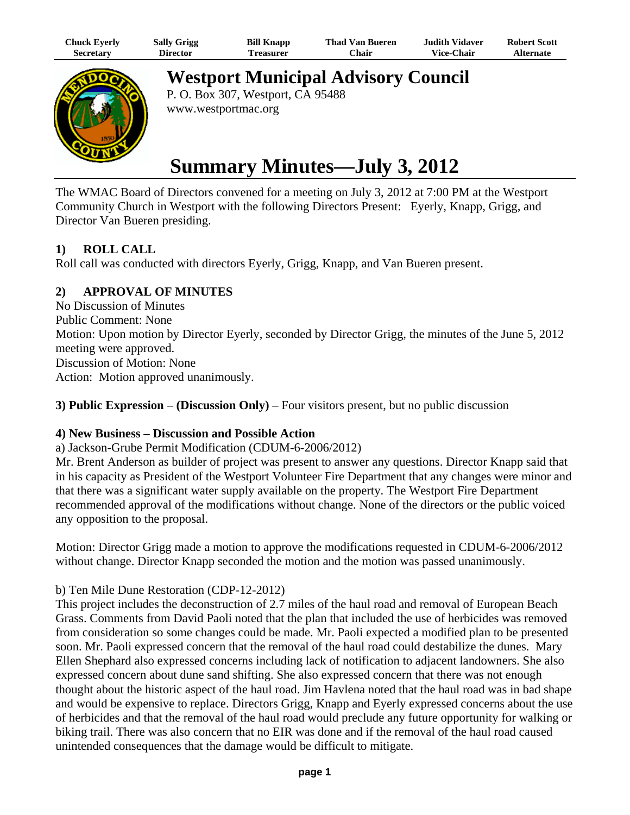| Chuck Eyerly | <b>Sally Grigg</b> | <b>Bill Knapp</b> | <b>Thad Van Bueren</b> | <b>Judith Vidaver</b> | <b>Robert Scott</b> |
|--------------|--------------------|-------------------|------------------------|-----------------------|---------------------|
| Secretary    | Director           | Treasurer         | Chair                  | <b>Vice-Chair</b>     | <b>Alternate</b>    |



**Westport Municipal Advisory Council**

P. O. Box 307, Westport, CA 95488 www.westportmac.org

# **Summary Minutes—July 3, 2012**

The WMAC Board of Directors convened for a meeting on July 3, 2012 at 7:00 PM at the Westport Community Church in Westport with the following Directors Present: Eyerly, Knapp, Grigg, and Director Van Bueren presiding.

## **1) ROLL CALL**

Roll call was conducted with directors Eyerly, Grigg, Knapp, and Van Bueren present.

## **2) APPROVAL OF MINUTES**

No Discussion of Minutes Public Comment: None Motion: Upon motion by Director Eyerly, seconded by Director Grigg, the minutes of the June 5, 2012 meeting were approved. Discussion of Motion: None Action: Motion approved unanimously.

**3) Public Expression** – **(Discussion Only)** – Four visitors present, but no public discussion

## **4) New Business – Discussion and Possible Action**

#### a) Jackson-Grube Permit Modification (CDUM-6-2006/2012)

Mr. Brent Anderson as builder of project was present to answer any questions. Director Knapp said that in his capacity as President of the Westport Volunteer Fire Department that any changes were minor and that there was a significant water supply available on the property. The Westport Fire Department recommended approval of the modifications without change. None of the directors or the public voiced any opposition to the proposal.

Motion: Director Grigg made a motion to approve the modifications requested in CDUM-6-2006/2012 without change. Director Knapp seconded the motion and the motion was passed unanimously.

## b) Ten Mile Dune Restoration (CDP-12-2012)

This project includes the deconstruction of 2.7 miles of the haul road and removal of European Beach Grass. Comments from David Paoli noted that the plan that included the use of herbicides was removed from consideration so some changes could be made. Mr. Paoli expected a modified plan to be presented soon. Mr. Paoli expressed concern that the removal of the haul road could destabilize the dunes. Mary Ellen Shephard also expressed concerns including lack of notification to adjacent landowners. She also expressed concern about dune sand shifting. She also expressed concern that there was not enough thought about the historic aspect of the haul road. Jim Havlena noted that the haul road was in bad shape and would be expensive to replace. Directors Grigg, Knapp and Eyerly expressed concerns about the use of herbicides and that the removal of the haul road would preclude any future opportunity for walking or biking trail. There was also concern that no EIR was done and if the removal of the haul road caused unintended consequences that the damage would be difficult to mitigate.